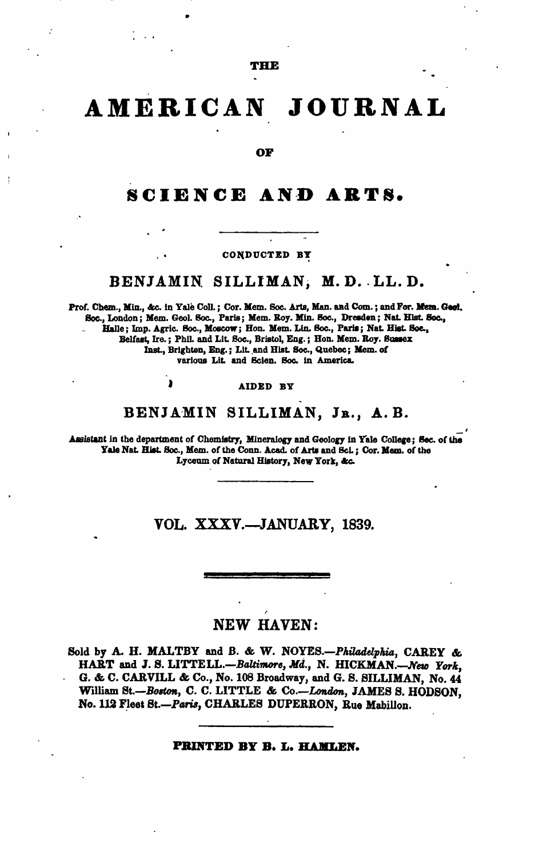**THE** 

## AMERICAN JOURNAL

OF

# SCIENCE AND ARTS.

### CONDUCTED BY

## BENJAMIN SILLIMAN, M.D. LL.D.

Prof. Chem., Min., &c. in Yale Coll.; Cor. Mem. Soc. Arts, Man. and Com.; and For. Mem. Geol. Soc., London; Mem. Geol. Soc., Paris; Mem. Roy. Min. Soc., Dresden; Nat. Hist. Soc., Halle; Imp. Agric. Soc., Moscow; Hon. Mem. Lin. Soc., Paris; Nat. Hist. Soc., Belfast, Ire.; Phil. and Lit. Soc., Bristol, Eng.; Hon. Mem. Roy. Sussex Inst., Brighton, Eng.; Lit. and Hist. Soc., Quebec; Mem. of various Lit. and Scien. Soc. in America.

#### AIDED BY

## BENJAMIN SILLIMAN, JR., A.B.

Assistant in the department of Chemistry, Mineralogy and Geology in Yale College; Sec. of the Yale Nat. Hist. Soc., Mem. of the Conn. Acad. of Arts and Sci.; Cor. Mem. of the Lyceum of Natural History, New York, &c.

## VOL. XXXV.-JANUARY, 1839.

# **NEW HAVEN:**

Sold by A. H. MALTBY and B. & W. NOYES.-Philadelphia, CAREY & HART and J. S. LITTELL.-Baltimore, Md., N. HICKMAN.-New York, G. & C. CARVILL & Co., No. 108 Broadway, and G. S. SILLIMAN, No. 44 William St.-Boston, C. C. LITTLE & Co.-London, JAMES S. HODSON, No. 112 Fleet St.-Paris, CHARLES DUPERRON, Rue Mabillon.

#### PRINTED BY B. L. HAMLEN.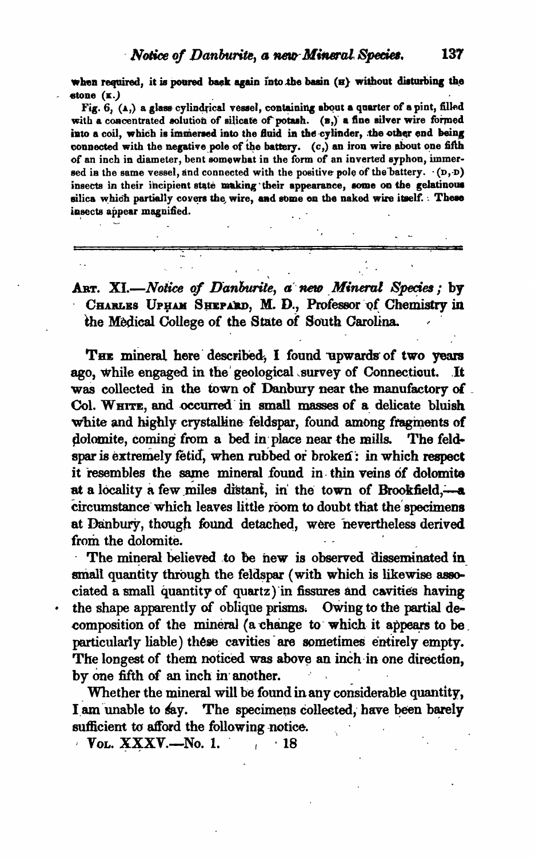when required, it is poured back again into the basin (E) without disturbing the stone (K.)

Fig.  $6, (a)$  a glass cylindrical vessel, containing about a quarter of a pint, filled with a concentrated solution of silicate of potash. (B,) a fine silver wire formed into a coil, which is immersed into the fluid in the cylinder, the other end being connected with the negative pole of the battery. (c,) an iron wire about one fifth of an inch in diameter, bent somewhat in the form of an inverted syphon, immersed in the same vessel, and connected with the positive pole of the battery.  $(p, p)$ insects in their incipient state making their appearance, some on the gelatinous silica which partially covers the wire, and some on the naked wire itself. : These insects appear magnified.

ART. XI.-Notice of Danburite, a new Mineral Species; by CHARLES UPHAM SHEPARD, M. D., Professor of Chemistry in the Medical College of the State of South Carolina.

THE mineral here described. I found upwards of two vears ago, while engaged in the geological survey of Connecticut. It was collected in the town of Danbury near the manufactory of Col. WHITE, and occurred in small masses of a delicate bluish white and highly crystalline feldspar, found among fragments of dolomite, coming from a bed in place near the mills. The feldspar is extremely fetid, when rubbed or broken: in which respect it resembles the same mineral found in thin veins of dolomite at a locality a few miles distant, in the town of Brookfield.-circumstance which leaves little room to doubt that the specimens at Danbury, though found detached, were nevertheless derived from the dolomite.

The mineral believed to be new is observed disseminated in small quantity through the feldspar (with which is likewise associated a small quantity of quartz) in fissures and cavities having the shape apparently of oblique prisms. Owing to the partial decomposition of the mineral (a change to which it appears to be particularly liable) these cavities are sometimes entirely empty. The longest of them noticed was above an inch in one direction, by one fifth of an inch in another.

Whether the mineral will be found in any considerable quantity, I am unable to say. The specimens collected, have been barely sufficient to afford the following notice.

 $V$  Vol.  $\bf XXXV$ .—No. 1.  $\cdot$  18 137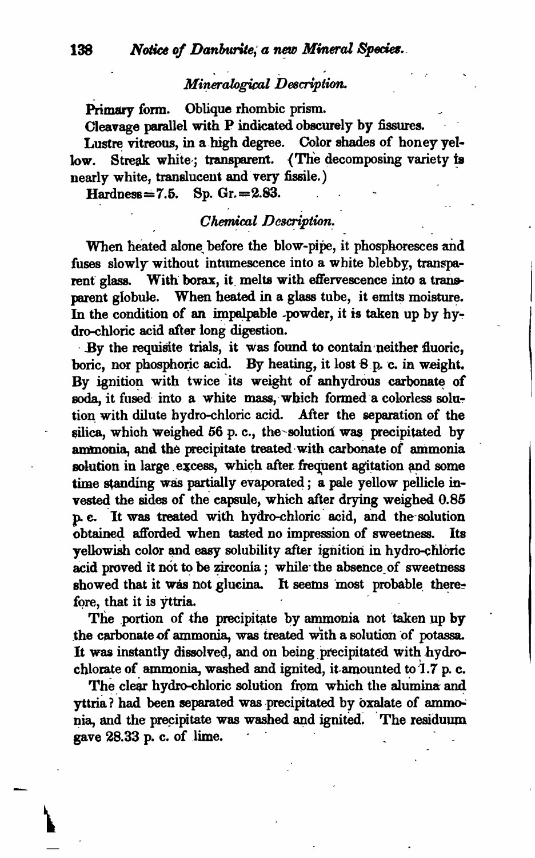# Mineralogical Description.

Primary form. Oblique rhombic prism.

Cleavage parallel with P indicated obscurely by fissures.

Lustre vitreous, in a high degree. Color shades of honey vel-Streak white; transparent. (The decomposing variety is low. nearly white, translucent and very fissile.)

Hardness=7.5. Sp. Gr. = 2.83.

# **Chemical Description.**

When heated alone before the blow-pipe, it phosphoresces and fuses slowly without intumescence into a white blebby, transpa-With borax, it melts with effervescence into a transrent glass. parent globule. When heated in a glass tube, it emits moisture. In the condition of an impalpable powder, it is taken up by hydro-chloric acid after long digestion.

By the requisite trials, it was found to contain neither fluoric. boric, nor phosphoric acid. By heating, it lost 8 p. c. in weight. By ignition with twice its weight of anhydrous carbonate of soda, it fused into a white mass, which formed a colorless solution with dilute hydro-chloric acid. After the separation of the silica, which weighed 56 p.c., the solution was precipitated by ammonia, and the precipitate treated with carbonate of ammonia solution in large excess, which after frequent agitation and some time standing was partially evaporated; a pale vellow pellicle invested the sides of the capsule, which after drying weighed 0.85 p. c. It was treated with hydro-chloric acid, and the solution obtained afforded when tasted no impression of sweetness. Its vellowish color and easy solubility after ignition in hydro-chloric acid proved it not to be zirconia; while the absence of sweetness showed that it was not glucina. It seems most probable therefore, that it is yttria.

The portion of the precipitate by ammonia not taken up by the carbonate of ammonia, was treated with a solution of potassa. It was instantly dissolved, and on being precipitated with hydrochlorate of ammonia, washed and ignited, it amounted to 1.7 p. c.

The clear hydro-chloric solution from which the alumina and vitria? had been separated was precipitated by oxalate of ammonia, and the precipitate was washed and ignited. The residuum gave 28.33 p. c. of lime.